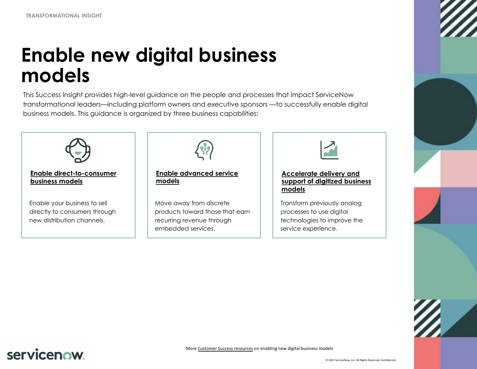**TRANSFORMATIONAL INSIGHT**

# **Enable new di[gital busin](#page-2-0)ess [models](#page-1-0)**

This Success Insight provides high-level guidance on the people and processes that impact ServiceNow transformational leaders—including platform owners and executive sponsors —to successfully enable digital business models. This guidance is organized by three business capabilities:



## servicenow.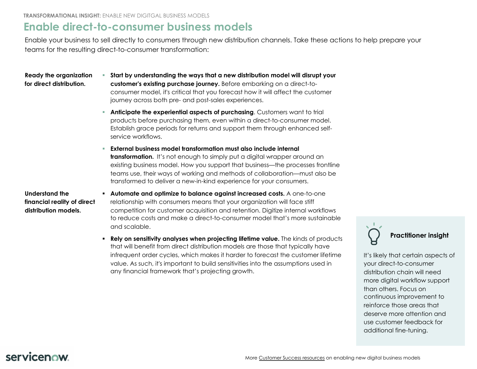**TRANSFORMATIONAL INSIGHT:** ENABLE NEW DIGITGAL BUSINESS MODELS

#### **Enable direct-to-consumer business models**

Enable your business to sell directly to consumers through new distribution channels. Take these actions to he teams for the resulting direct-to-consumer transformation:

**Ready the organization for direct distribution.**

- <span id="page-1-0"></span>§ **Start by understanding the ways that a new distribution model will disrupt your customer's existing purchase journey.** Before embarking on a direct-toconsumer model, it's critical that you forecast how it will affect the customer journey across both pre- and post-sales experiences.
- § **Anticipate the experiential aspects of purchasing**. Customers want to trial products before purchasing them, even within a direct-to-consumer model. Establish grace periods for returns and support them through enhanced selfservice workflows.
- § **External business model transformation must also include internal transformation.** It's not enough to simply put a digital wrapper around an existing business model. How you support that business—the processes frontline teams use, their ways of working and methods of collaboration—must also be transformed to deliver a new-in-kind experience for your consumers.

**Understand the financial reality of direct distribution models.**

- § **Automate and optimize to balance against increased costs.** A one-to-one relationship with consumers means that your organization will face stiff competition for customer acquisition and retention. Digitize internal workflows to reduce costs and make a direct-to-consumer model that's more sustainable and scalable.
- § **Rely on sensitivity analyses when projecting lifetime value.** The kinds of products that will benefit from direct distribution models are [those that typically hav](https://www.servicenow.com/success/solutions/digital-business-models.html)e infrequent order cycles, which makes it harder to forecast the customer lifetime value. As such, it's important to build sensitivities into the assumptions used in any financial framework that's projecting growth.

lt' y. di  $m$ th  $C<sub>0</sub>$  $r \in$ deserve more attention and use customer feedback for a

 $\overline{\phantom{0}}$ 

#### servicenow.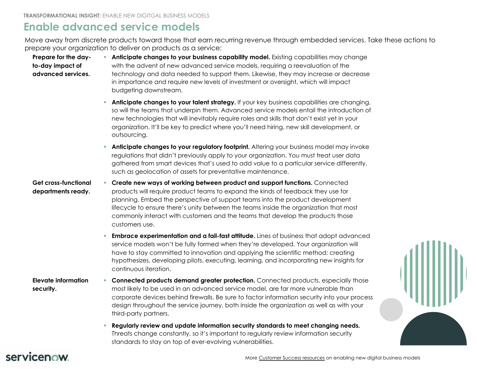<span id="page-2-0"></span>**TRANSFORMATIONAL INSIGHT:** ENABLE NEW DIGITGAL BUSINESS MODELS

#### **Enable advanced service models**

Move away from discrete products toward those that earn recurring revenue through embedded services. Take these actions to prepare your organization to deliver on products as a service:

| Prepare for the day-<br>to-day impact of<br>advanced services. | Anticipate changes to your business capability model. Existing capabilities may change<br>a.<br>with the advent of new advanced service models, requiring a reevaluation of the<br>technology and data needed to support them. Likewise, they may increase or decrease<br>in importance and require new levels of investment or oversight, which will impact<br>budgeting downstream.                                                                                        |
|----------------------------------------------------------------|------------------------------------------------------------------------------------------------------------------------------------------------------------------------------------------------------------------------------------------------------------------------------------------------------------------------------------------------------------------------------------------------------------------------------------------------------------------------------|
|                                                                | <b>Anticipate changes to your talent strategy.</b> If your key business capabilities are changing<br>$\mathcal{L}_{\mathcal{A}}$<br>so will the teams that underpin them. Advanced service models entail the introduction of<br>new technologies that will inevitably require roles and skills that don't exist yet in your<br>organization. It'll be key to predict where you'll need hiring, new skill development, or<br>outsourcing.                                     |
|                                                                | Anticipate changes to your regulatory footprint. Altering your business model may invoke<br>$\mathcal{L}_{\mathcal{A}}$<br>regulations that didn't previously apply to your organization. You must treat user data<br>gathered from smart devices that's used to add value to a particular service differently,<br>such as geolocation of assets for preventative maintenance.                                                                                               |
| <b>Get cross-functional</b><br>departments ready.              | Create new ways of working between product and support functions. Connected<br>$\mathcal{L}_{\mathcal{A}}$<br>products will require product teams to expand the kinds of feedback they use for<br>planning. Embed the perspective of support teams into the product development<br>lifecycle to ensure there's unity between the teams inside the organization that most<br>commonly interact with customers and the teams that develop the products those<br>customers use. |
|                                                                | <b>Embrace experimentation and a fail-fast attitude.</b> Lines of business that adopt advanced<br>ш<br>service models won't be fully formed when they're developed. Your organization will<br>have to stay committed to innovation and applying the scientific method: creating<br>hypothesizes, developing pilots, executing, learning, and incorporating new insights for<br>continuous iteration.                                                                         |
| <b>Elevate information</b><br>security.                        | <b>Connected products demand greater protection.</b> Connected products, especially those<br>ш<br>most likely to be used in an advanced service model, are far more vulnerable than<br>corporate devices behind firewalls. Be sure to factor information security into your proce<br>design throughout the service journey, both inside the organization as well as with your<br>third-party partners.                                                                       |
|                                                                | Regularly review and update information security standards to meet changing needs.<br>Threats change constantly, so it's important to regularly review information security<br>standards to stay on top of ever-evolving vulnerabilities.                                                                                                                                                                                                                                    |

#### servicenow.